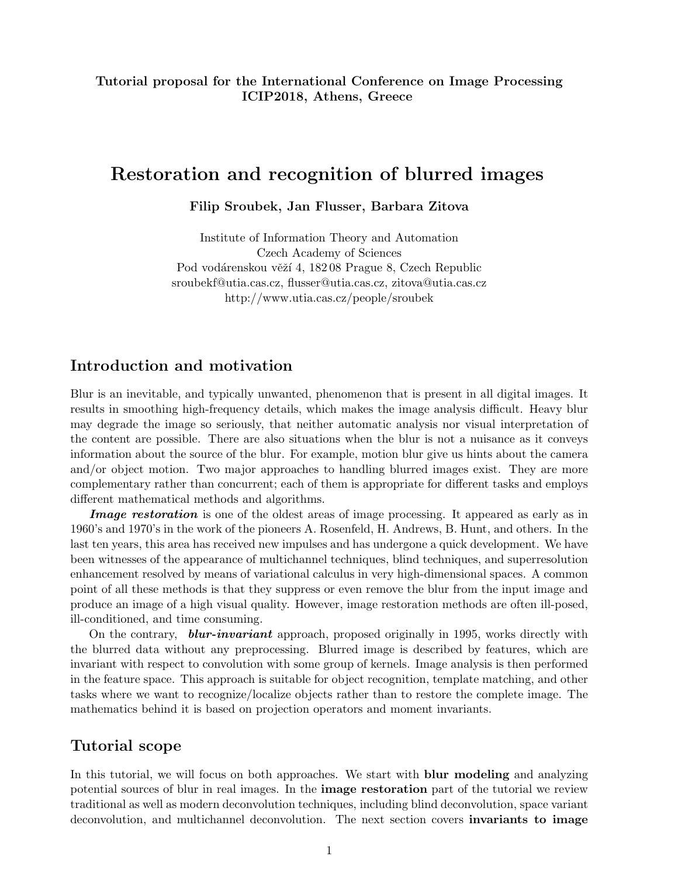## Tutorial proposal for the International Conference on Image Processing ICIP2018, Athens, Greece

# Restoration and recognition of blurred images

Filip Sroubek, Jan Flusser, Barbara Zitova

Institute of Information Theory and Automation Czech Academy of Sciences Pod vodárenskou věží 4, 182 08 Prague 8, Czech Republic sroubekf@utia.cas.cz, flusser@utia.cas.cz, zitova@utia.cas.cz http://www.utia.cas.cz/people/sroubek

## Introduction and motivation

Blur is an inevitable, and typically unwanted, phenomenon that is present in all digital images. It results in smoothing high-frequency details, which makes the image analysis difficult. Heavy blur may degrade the image so seriously, that neither automatic analysis nor visual interpretation of the content are possible. There are also situations when the blur is not a nuisance as it conveys information about the source of the blur. For example, motion blur give us hints about the camera and/or object motion. Two major approaches to handling blurred images exist. They are more complementary rather than concurrent; each of them is appropriate for different tasks and employs different mathematical methods and algorithms.

Image restoration is one of the oldest areas of image processing. It appeared as early as in 1960's and 1970's in the work of the pioneers A. Rosenfeld, H. Andrews, B. Hunt, and others. In the last ten years, this area has received new impulses and has undergone a quick development. We have been witnesses of the appearance of multichannel techniques, blind techniques, and superresolution enhancement resolved by means of variational calculus in very high-dimensional spaces. A common point of all these methods is that they suppress or even remove the blur from the input image and produce an image of a high visual quality. However, image restoration methods are often ill-posed, ill-conditioned, and time consuming.

On the contrary, **blur-invariant** approach, proposed originally in 1995, works directly with the blurred data without any preprocessing. Blurred image is described by features, which are invariant with respect to convolution with some group of kernels. Image analysis is then performed in the feature space. This approach is suitable for object recognition, template matching, and other tasks where we want to recognize/localize objects rather than to restore the complete image. The mathematics behind it is based on projection operators and moment invariants.

## Tutorial scope

In this tutorial, we will focus on both approaches. We start with **blur modeling** and analyzing potential sources of blur in real images. In the **image restoration** part of the tutorial we review traditional as well as modern deconvolution techniques, including blind deconvolution, space variant deconvolution, and multichannel deconvolution. The next section covers invariants to image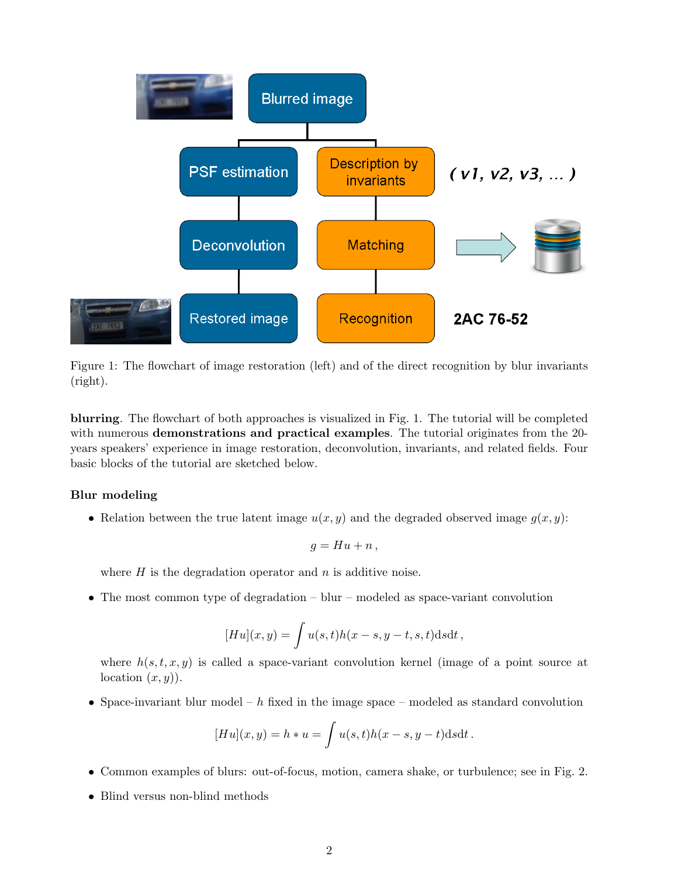

Figure 1: The flowchart of image restoration (left) and of the direct recognition by blur invariants (right).

blurring. The flowchart of both approaches is visualized in Fig. 1. The tutorial will be completed with numerous **demonstrations and practical examples**. The tutorial originates from the 20years speakers' experience in image restoration, deconvolution, invariants, and related fields. Four basic blocks of the tutorial are sketched below.

### Blur modeling

• Relation between the true latent image  $u(x, y)$  and the degraded observed image  $q(x, y)$ :

$$
g = Hu + n,
$$

where  $H$  is the degradation operator and  $n$  is additive noise.

• The most common type of degradation – blur – modeled as space-variant convolution

$$
[Hu](x,y) = \int u(s,t)h(x-s,y-t,s,t)dsdt,
$$

where  $h(s, t, x, y)$  is called a space-variant convolution kernel (image of a point source at location  $(x, y)$ ).

• Space-invariant blur model –  $h$  fixed in the image space – modeled as standard convolution

$$
[Hu](x,y) = h * u = \int u(s,t)h(x-s,y-t)dsdt.
$$

- Common examples of blurs: out-of-focus, motion, camera shake, or turbulence; see in Fig. 2.
- Blind versus non-blind methods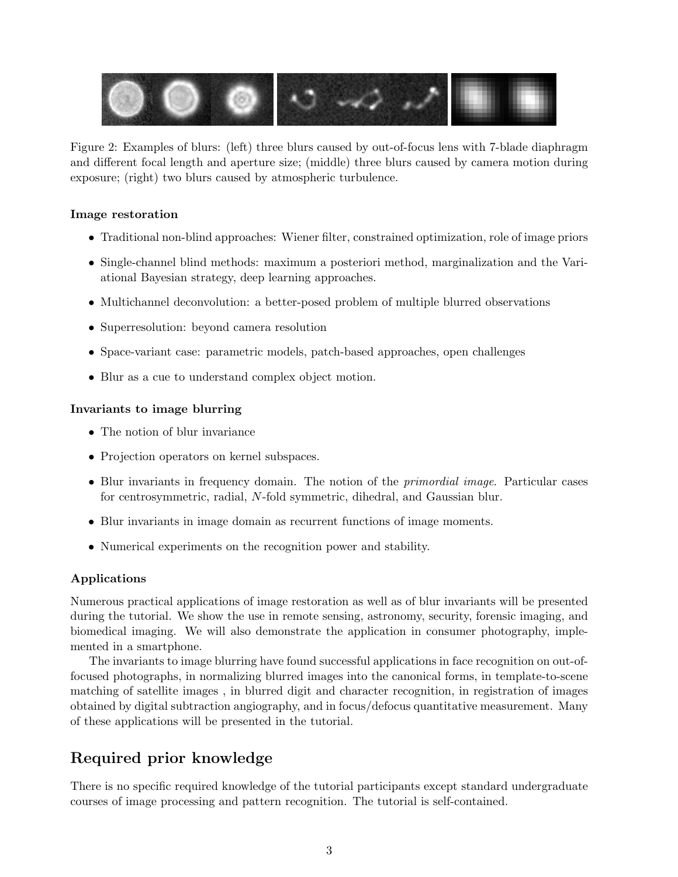

Figure 2: Examples of blurs: (left) three blurs caused by out-of-focus lens with 7-blade diaphragm and different focal length and aperture size; (middle) three blurs caused by camera motion during exposure; (right) two blurs caused by atmospheric turbulence.

### Image restoration

- Traditional non-blind approaches: Wiener filter, constrained optimization, role of image priors
- Single-channel blind methods: maximum a posteriori method, marginalization and the Variational Bayesian strategy, deep learning approaches.
- Multichannel deconvolution: a better-posed problem of multiple blurred observations
- Superresolution: beyond camera resolution
- Space-variant case: parametric models, patch-based approaches, open challenges
- Blur as a cue to understand complex object motion.

### Invariants to image blurring

- The notion of blur invariance
- Projection operators on kernel subspaces.
- Blur invariants in frequency domain. The notion of the *primordial image*. Particular cases for centrosymmetric, radial, N-fold symmetric, dihedral, and Gaussian blur.
- Blur invariants in image domain as recurrent functions of image moments.
- Numerical experiments on the recognition power and stability.

## Applications

Numerous practical applications of image restoration as well as of blur invariants will be presented during the tutorial. We show the use in remote sensing, astronomy, security, forensic imaging, and biomedical imaging. We will also demonstrate the application in consumer photography, implemented in a smartphone.

The invariants to image blurring have found successful applications in face recognition on out-offocused photographs, in normalizing blurred images into the canonical forms, in template-to-scene matching of satellite images , in blurred digit and character recognition, in registration of images obtained by digital subtraction angiography, and in focus/defocus quantitative measurement. Many of these applications will be presented in the tutorial.

# Required prior knowledge

There is no specific required knowledge of the tutorial participants except standard undergraduate courses of image processing and pattern recognition. The tutorial is self-contained.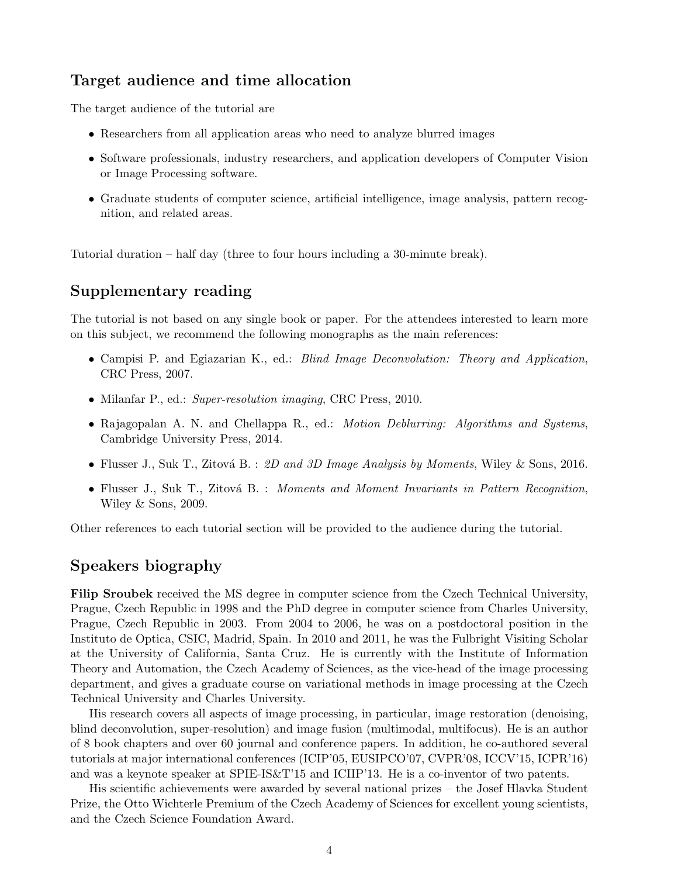# Target audience and time allocation

The target audience of the tutorial are

- Researchers from all application areas who need to analyze blurred images
- Software professionals, industry researchers, and application developers of Computer Vision or Image Processing software.
- Graduate students of computer science, artificial intelligence, image analysis, pattern recognition, and related areas.

Tutorial duration – half day (three to four hours including a 30-minute break).

## Supplementary reading

The tutorial is not based on any single book or paper. For the attendees interested to learn more on this subject, we recommend the following monographs as the main references:

- Campisi P. and Egiazarian K., ed.: *Blind Image Deconvolution: Theory and Application*, CRC Press, 2007.
- Milanfar P., ed.: Super-resolution imaging, CRC Press, 2010.
- Rajagopalan A. N. and Chellappa R., ed.: *Motion Deblurring: Algorithms and Systems*, Cambridge University Press, 2014.
- Flusser J., Suk T., Zitová B. : 2D and 3D Image Analysis by Moments, Wiley & Sons, 2016.
- Flusser J., Suk T., Zitová B. : Moments and Moment Invariants in Pattern Recognition, Wiley & Sons, 2009.

Other references to each tutorial section will be provided to the audience during the tutorial.

## Speakers biography

Filip Sroubek received the MS degree in computer science from the Czech Technical University, Prague, Czech Republic in 1998 and the PhD degree in computer science from Charles University, Prague, Czech Republic in 2003. From 2004 to 2006, he was on a postdoctoral position in the Instituto de Optica, CSIC, Madrid, Spain. In 2010 and 2011, he was the Fulbright Visiting Scholar at the University of California, Santa Cruz. He is currently with the Institute of Information Theory and Automation, the Czech Academy of Sciences, as the vice-head of the image processing department, and gives a graduate course on variational methods in image processing at the Czech Technical University and Charles University.

His research covers all aspects of image processing, in particular, image restoration (denoising, blind deconvolution, super-resolution) and image fusion (multimodal, multifocus). He is an author of 8 book chapters and over 60 journal and conference papers. In addition, he co-authored several tutorials at major international conferences (ICIP'05, EUSIPCO'07, CVPR'08, ICCV'15, ICPR'16) and was a keynote speaker at SPIE-IS&T'15 and ICIIP'13. He is a co-inventor of two patents.

His scientific achievements were awarded by several national prizes – the Josef Hlavka Student Prize, the Otto Wichterle Premium of the Czech Academy of Sciences for excellent young scientists, and the Czech Science Foundation Award.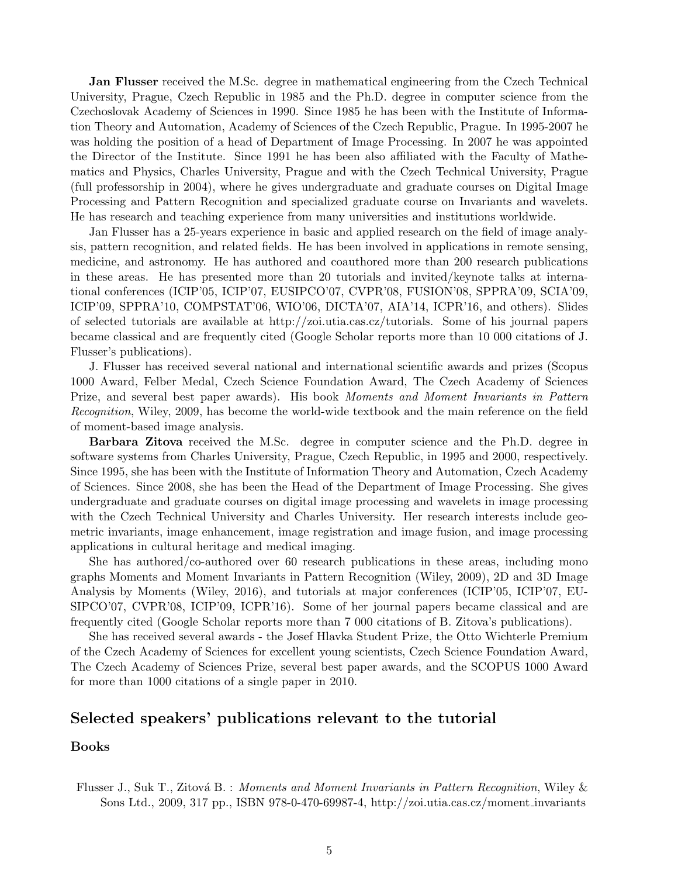**Jan Flusser** received the M.Sc. degree in mathematical engineering from the Czech Technical University, Prague, Czech Republic in 1985 and the Ph.D. degree in computer science from the Czechoslovak Academy of Sciences in 1990. Since 1985 he has been with the Institute of Information Theory and Automation, Academy of Sciences of the Czech Republic, Prague. In 1995-2007 he was holding the position of a head of Department of Image Processing. In 2007 he was appointed the Director of the Institute. Since 1991 he has been also affiliated with the Faculty of Mathematics and Physics, Charles University, Prague and with the Czech Technical University, Prague (full professorship in 2004), where he gives undergraduate and graduate courses on Digital Image Processing and Pattern Recognition and specialized graduate course on Invariants and wavelets. He has research and teaching experience from many universities and institutions worldwide.

Jan Flusser has a 25-years experience in basic and applied research on the field of image analysis, pattern recognition, and related fields. He has been involved in applications in remote sensing, medicine, and astronomy. He has authored and coauthored more than 200 research publications in these areas. He has presented more than 20 tutorials and invited/keynote talks at international conferences (ICIP'05, ICIP'07, EUSIPCO'07, CVPR'08, FUSION'08, SPPRA'09, SCIA'09, ICIP'09, SPPRA'10, COMPSTAT'06, WIO'06, DICTA'07, AIA'14, ICPR'16, and others). Slides of selected tutorials are available at http://zoi.utia.cas.cz/tutorials. Some of his journal papers became classical and are frequently cited (Google Scholar reports more than 10 000 citations of J. Flusser's publications).

J. Flusser has received several national and international scientific awards and prizes (Scopus 1000 Award, Felber Medal, Czech Science Foundation Award, The Czech Academy of Sciences Prize, and several best paper awards). His book Moments and Moment Invariants in Pattern Recognition, Wiley, 2009, has become the world-wide textbook and the main reference on the field of moment-based image analysis.

Barbara Zitova received the M.Sc. degree in computer science and the Ph.D. degree in software systems from Charles University, Prague, Czech Republic, in 1995 and 2000, respectively. Since 1995, she has been with the Institute of Information Theory and Automation, Czech Academy of Sciences. Since 2008, she has been the Head of the Department of Image Processing. She gives undergraduate and graduate courses on digital image processing and wavelets in image processing with the Czech Technical University and Charles University. Her research interests include geometric invariants, image enhancement, image registration and image fusion, and image processing applications in cultural heritage and medical imaging.

She has authored/co-authored over 60 research publications in these areas, including mono graphs Moments and Moment Invariants in Pattern Recognition (Wiley, 2009), 2D and 3D Image Analysis by Moments (Wiley, 2016), and tutorials at major conferences (ICIP'05, ICIP'07, EU-SIPCO'07, CVPR'08, ICIP'09, ICPR'16). Some of her journal papers became classical and are frequently cited (Google Scholar reports more than 7 000 citations of B. Zitova's publications).

She has received several awards - the Josef Hlavka Student Prize, the Otto Wichterle Premium of the Czech Academy of Sciences for excellent young scientists, Czech Science Foundation Award, The Czech Academy of Sciences Prize, several best paper awards, and the SCOPUS 1000 Award for more than 1000 citations of a single paper in 2010.

### Selected speakers' publications relevant to the tutorial

#### Books

Flusser J., Suk T., Zitová B. : Moments and Moment Invariants in Pattern Recognition, Wiley & Sons Ltd., 2009, 317 pp., ISBN 978-0-470-69987-4, http://zoi.utia.cas.cz/moment invariants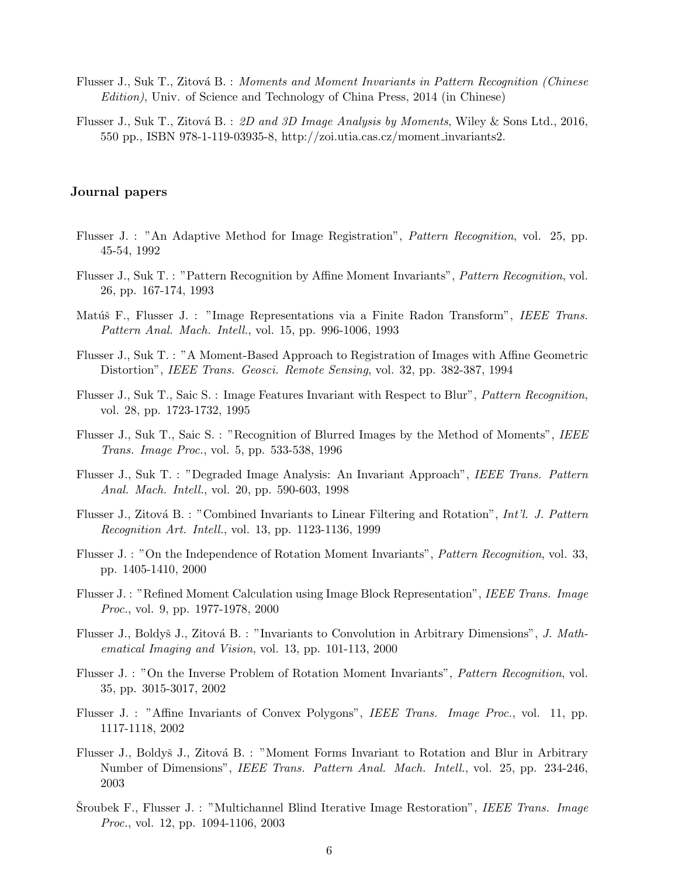- Flusser J., Suk T., Zitová B. : Moments and Moment Invariants in Pattern Recognition (Chinese Edition), Univ. of Science and Technology of China Press, 2014 (in Chinese)
- Flusser J., Suk T., Zitová B. : 2D and 3D Image Analysis by Moments, Wiley & Sons Ltd., 2016, 550 pp., ISBN 978-1-119-03935-8, http://zoi.utia.cas.cz/moment invariants2.

#### Journal papers

- Flusser J. : "An Adaptive Method for Image Registration", Pattern Recognition, vol. 25, pp. 45-54, 1992
- Flusser J., Suk T. : "Pattern Recognition by Affine Moment Invariants", Pattern Recognition, vol. 26, pp. 167-174, 1993
- Matúš F., Flusser J. : "Image Representations via a Finite Radon Transform", IEEE Trans. Pattern Anal. Mach. Intell., vol. 15, pp. 996-1006, 1993
- Flusser J., Suk T. : "A Moment-Based Approach to Registration of Images with Affine Geometric Distortion", IEEE Trans. Geosci. Remote Sensing, vol. 32, pp. 382-387, 1994
- Flusser J., Suk T., Saic S. : Image Features Invariant with Respect to Blur", Pattern Recognition, vol. 28, pp. 1723-1732, 1995
- Flusser J., Suk T., Saic S. : "Recognition of Blurred Images by the Method of Moments", IEEE Trans. Image Proc., vol. 5, pp. 533-538, 1996
- Flusser J., Suk T. : "Degraded Image Analysis: An Invariant Approach", IEEE Trans. Pattern Anal. Mach. Intell., vol. 20, pp. 590-603, 1998
- Flusser J., Zitová B. : "Combined Invariants to Linear Filtering and Rotation", Int'l. J. Pattern Recognition Art. Intell., vol. 13, pp. 1123-1136, 1999
- Flusser J. : "On the Independence of Rotation Moment Invariants", Pattern Recognition, vol. 33, pp. 1405-1410, 2000
- Flusser J. : "Refined Moment Calculation using Image Block Representation", IEEE Trans. Image Proc., vol. 9, pp. 1977-1978, 2000
- Flusser J., Boldyš J., Zitová B. : "Invariants to Convolution in Arbitrary Dimensions", J. Mathematical Imaging and Vision, vol. 13, pp. 101-113, 2000
- Flusser J. : "On the Inverse Problem of Rotation Moment Invariants", Pattern Recognition, vol. 35, pp. 3015-3017, 2002
- Flusser J. : "Affine Invariants of Convex Polygons", IEEE Trans. Image Proc., vol. 11, pp. 1117-1118, 2002
- Flusser J., Boldyš J., Zitová B. : "Moment Forms Invariant to Rotation and Blur in Arbitrary Number of Dimensions", IEEE Trans. Pattern Anal. Mach. Intell., vol. 25, pp. 234-246, 2003
- Sroubek F., Flusser J. : "Multichannel Blind Iterative Image Restoration", IEEE Trans. Image *Proc.*, vol. 12, pp. 1094-1106, 2003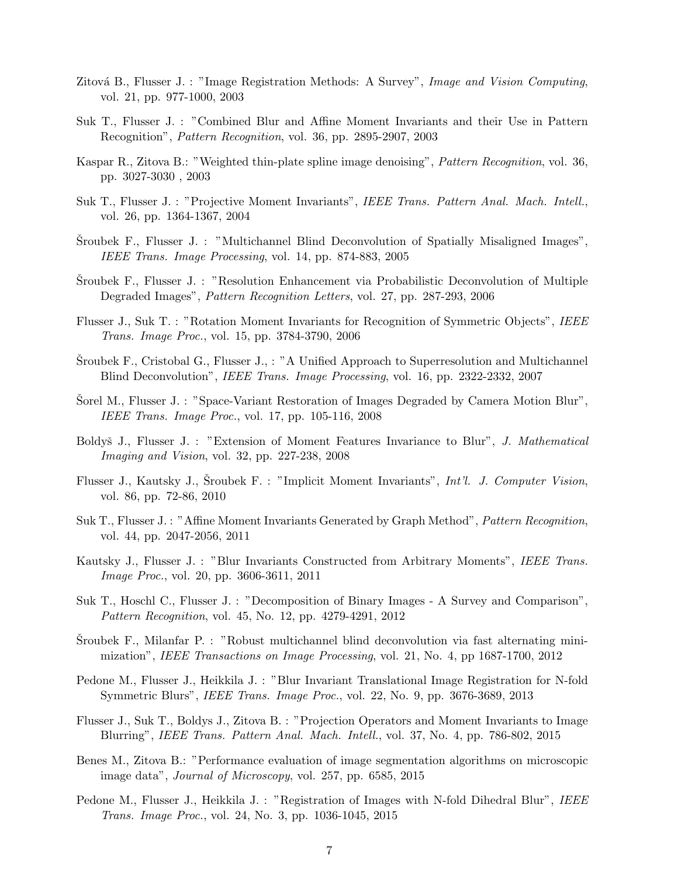- Zitová B., Flusser J. : "Image Registration Methods: A Survey", Image and Vision Computing, vol. 21, pp. 977-1000, 2003
- Suk T., Flusser J. : "Combined Blur and Affine Moment Invariants and their Use in Pattern Recognition", Pattern Recognition, vol. 36, pp. 2895-2907, 2003
- Kaspar R., Zitova B.: "Weighted thin-plate spline image denoising", Pattern Recognition, vol. 36, pp. 3027-3030 , 2003
- Suk T., Flusser J. : "Projective Moment Invariants", IEEE Trans. Pattern Anal. Mach. Intell., vol. 26, pp. 1364-1367, 2004
- Sroubek F., Flusser J. : "Multichannel Blind Deconvolution of Spatially Misaligned Images", IEEE Trans. Image Processing, vol. 14, pp. 874-883, 2005
- Sroubek F., Flusser J. : "Resolution Enhancement via Probabilistic Deconvolution of Multiple Degraded Images", Pattern Recognition Letters, vol. 27, pp. 287-293, 2006
- Flusser J., Suk T. : "Rotation Moment Invariants for Recognition of Symmetric Objects", IEEE Trans. Image Proc., vol. 15, pp. 3784-3790, 2006
- Sroubek F., Cristobal G., Flusser J.,  $: "A$  Unified Approach to Superresolution and Multichannel Blind Deconvolution", IEEE Trans. Image Processing, vol. 16, pp. 2322-2332, 2007
- Sorel M., Flusser J. : "Space-Variant Restoration of Images Degraded by Camera Motion Blur", IEEE Trans. Image Proc., vol. 17, pp. 105-116, 2008
- Boldyš J., Flusser J. : "Extension of Moment Features Invariance to Blur", J. Mathematical Imaging and Vision, vol. 32, pp. 227-238, 2008
- Flusser J., Kautsky J., Sroubek F. : "Implicit Moment Invariants", *Int'l. J. Computer Vision*, vol. 86, pp. 72-86, 2010
- Suk T., Flusser J. : "Affine Moment Invariants Generated by Graph Method", Pattern Recognition, vol. 44, pp. 2047-2056, 2011
- Kautsky J., Flusser J. : "Blur Invariants Constructed from Arbitrary Moments", IEEE Trans. *Image Proc.*, vol. 20, pp. 3606-3611, 2011
- Suk T., Hoschl C., Flusser J. : "Decomposition of Binary Images A Survey and Comparison", Pattern Recognition, vol. 45, No. 12, pp. 4279-4291, 2012
- Sroubek F., Milanfar P. : "Robust multichannel blind deconvolution via fast alternating minimization", IEEE Transactions on Image Processing, vol. 21, No. 4, pp 1687-1700, 2012
- Pedone M., Flusser J., Heikkila J. : "Blur Invariant Translational Image Registration for N-fold Symmetric Blurs", IEEE Trans. Image Proc., vol. 22, No. 9, pp. 3676-3689, 2013
- Flusser J., Suk T., Boldys J., Zitova B. : "Projection Operators and Moment Invariants to Image Blurring", IEEE Trans. Pattern Anal. Mach. Intell., vol. 37, No. 4, pp. 786-802, 2015
- Benes M., Zitova B.: "Performance evaluation of image segmentation algorithms on microscopic image data", Journal of Microscopy, vol. 257, pp. 6585, 2015
- Pedone M., Flusser J., Heikkila J. : "Registration of Images with N-fold Dihedral Blur", IEEE Trans. Image Proc., vol. 24, No. 3, pp. 1036-1045, 2015